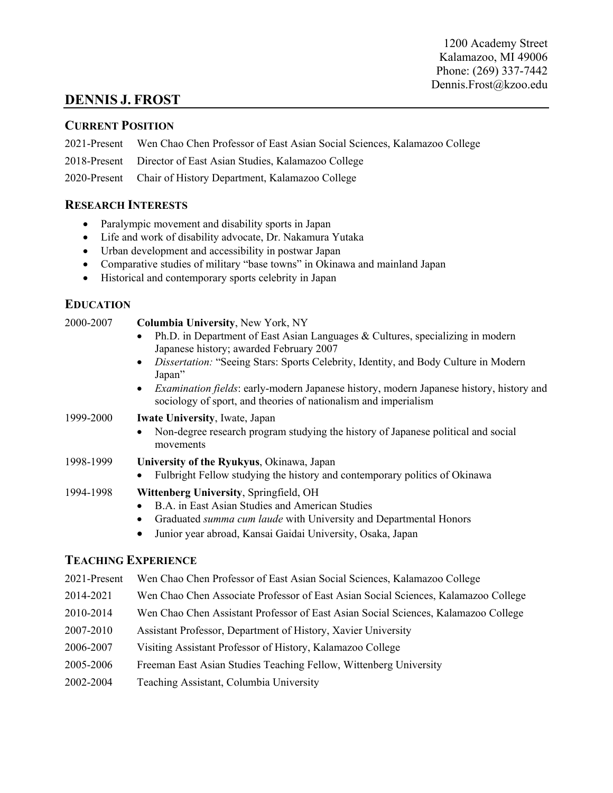### **DENNIS J. FROST**

### **CURRENT POSITION**

2021-Present Wen Chao Chen Professor of East Asian Social Sciences, Kalamazoo College

2018-Present Director of East Asian Studies, Kalamazoo College

2020-Present Chair of History Department, Kalamazoo College

### **RESEARCH INTERESTS**

- Paralympic movement and disability sports in Japan
- Life and work of disability advocate, Dr. Nakamura Yutaka
- Urban development and accessibility in postwar Japan
- Comparative studies of military "base towns" in Okinawa and mainland Japan
- Historical and contemporary sports celebrity in Japan

### **EDUCATION**

| 2000-2007 | <b>Columbia University, New York, NY</b>                                                                                                                                       |  |  |  |
|-----------|--------------------------------------------------------------------------------------------------------------------------------------------------------------------------------|--|--|--|
|           | Ph.D. in Department of East Asian Languages & Cultures, specializing in modern<br>Japanese history; awarded February 2007                                                      |  |  |  |
|           | Dissertation: "Seeing Stars: Sports Celebrity, Identity, and Body Culture in Modern<br>$\bullet$<br>Japan"                                                                     |  |  |  |
|           | <i>Examination fields:</i> early-modern Japanese history, modern Japanese history, history and<br>$\bullet$<br>sociology of sport, and theories of nationalism and imperialism |  |  |  |
| 1999-2000 | <b>Iwate University, Iwate, Japan</b>                                                                                                                                          |  |  |  |
|           | Non-degree research program studying the history of Japanese political and social<br>movements                                                                                 |  |  |  |
| 1998-1999 | University of the Ryukyus, Okinawa, Japan                                                                                                                                      |  |  |  |
|           | Fulbright Fellow studying the history and contemporary politics of Okinawa                                                                                                     |  |  |  |
| 1994-1998 | Wittenberg University, Springfield, OH                                                                                                                                         |  |  |  |
|           | B.A. in East Asian Studies and American Studies                                                                                                                                |  |  |  |
|           | Graduated <i>summa cum laude</i> with University and Departmental Honors<br>٠                                                                                                  |  |  |  |
|           | Junior year abroad, Kansai Gaidai University, Osaka, Japan<br>٠                                                                                                                |  |  |  |
|           | Te a <i>c</i> uin <i>c</i> Fydedience                                                                                                                                          |  |  |  |
|           |                                                                                                                                                                                |  |  |  |

### **TEACHING EXPERIENCE**

|  |  | 2021-Present Wen Chao Chen Professor of East Asian Social Sciences, Kalamazoo College |  |  |  |  |
|--|--|---------------------------------------------------------------------------------------|--|--|--|--|
|--|--|---------------------------------------------------------------------------------------|--|--|--|--|

- 2014-2021 Wen Chao Chen Associate Professor of East Asian Social Sciences, Kalamazoo College
- 2010-2014 Wen Chao Chen Assistant Professor of East Asian Social Sciences, Kalamazoo College
- 2007-2010 Assistant Professor, Department of History, Xavier University
- 2006-2007 Visiting Assistant Professor of History, Kalamazoo College
- 2005-2006 Freeman East Asian Studies Teaching Fellow, Wittenberg University
- 2002-2004 Teaching Assistant, Columbia University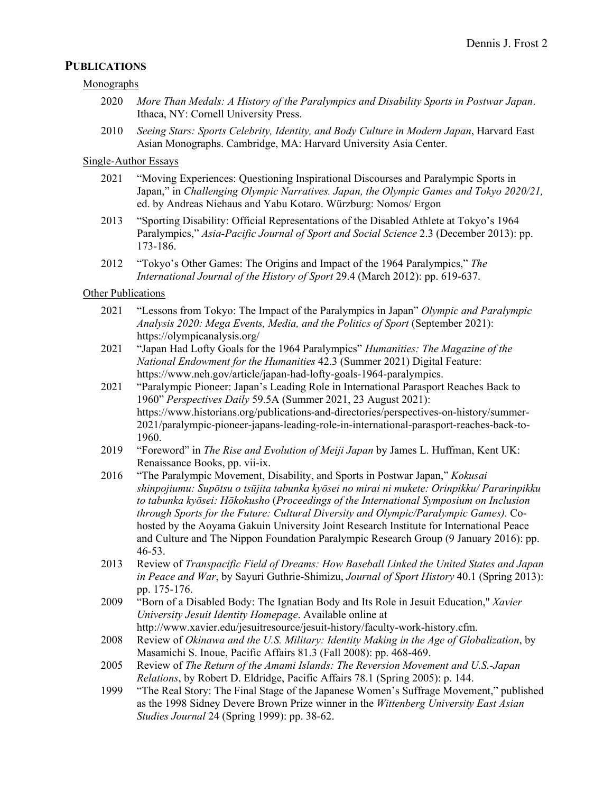#### **PUBLICATIONS**

Monographs

- 2020 *More Than Medals: A History of the Paralympics and Disability Sports in Postwar Japan*. Ithaca, NY: Cornell University Press.
- 2010 *Seeing Stars: Sports Celebrity, Identity, and Body Culture in Modern Japan*, Harvard East Asian Monographs. Cambridge, MA: Harvard University Asia Center.

#### Single-Author Essays

- 2021 "Moving Experiences: Questioning Inspirational Discourses and Paralympic Sports in Japan," in *Challenging Olympic Narratives. Japan, the Olympic Games and Tokyo 2020/21,*  ed. by Andreas Niehaus and Yabu Kotaro. Würzburg: Nomos/ Ergon
- 2013 "Sporting Disability: Official Representations of the Disabled Athlete at Tokyo's 1964 Paralympics," *Asia-Pacific Journal of Sport and Social Science* 2.3 (December 2013): pp. 173-186.
- 2012 "Tokyo's Other Games: The Origins and Impact of the 1964 Paralympics," *The International Journal of the History of Sport* 29.4 (March 2012): pp. 619-637.

#### Other Publications

- 2021 "Lessons from Tokyo: The Impact of the Paralympics in Japan" *Olympic and Paralympic Analysis 2020: Mega Events, Media, and the Politics of Sport* (September 2021): https://olympicanalysis.org/
- 2021 "Japan Had Lofty Goals for the 1964 Paralympics" *Humanities: The Magazine of the National Endowment for the Humanities* 42.3 (Summer 2021) Digital Feature: https://www.neh.gov/article/japan-had-lofty-goals-1964-paralympics.
- 2021 "Paralympic Pioneer: Japan's Leading Role in International Parasport Reaches Back to 1960" *Perspectives Daily* 59.5A (Summer 2021, 23 August 2021): https://www.historians.org/publications-and-directories/perspectives-on-history/summer-2021/paralympic-pioneer-japans-leading-role-in-international-parasport-reaches-back-to-1960.
- 2019 "Foreword" in *The Rise and Evolution of Meiji Japan* by James L. Huffman, Kent UK: Renaissance Books, pp. vii-ix.
- 2016 "The Paralympic Movement, Disability, and Sports in Postwar Japan," *Kokusai shinpojiumu: Supōtsu o tsūjita tabunka kyōsei no mirai ni mukete: Orinpikku/ Pararinpikku to tabunka kyōsei: Hōkokusho* (*Proceedings of the International Symposium on Inclusion through Sports for the Future: Cultural Diversity and Olympic/Paralympic Games).* Cohosted by the Aoyama Gakuin University Joint Research Institute for International Peace and Culture and The Nippon Foundation Paralympic Research Group (9 January 2016): pp. 46-53.
- 2013 Review of *Transpacific Field of Dreams: How Baseball Linked the United States and Japan in Peace and War*, by Sayuri Guthrie-Shimizu, *Journal of Sport History* 40.1 (Spring 2013): pp. 175-176.
- 2009 "Born of a Disabled Body: The Ignatian Body and Its Role in Jesuit Education," *Xavier University Jesuit Identity Homepage*. Available online at http://www.xavier.edu/jesuitresource/jesuit-history/faculty-work-history.cfm.
- 2008 Review of *Okinawa and the U.S. Military: Identity Making in the Age of Globalization*, by Masamichi S. Inoue, Pacific Affairs 81.3 (Fall 2008): pp. 468-469.
- 2005 Review of *The Return of the Amami Islands: The Reversion Movement and U.S.-Japan Relations*, by Robert D. Eldridge, Pacific Affairs 78.1 (Spring 2005): p. 144.
- 1999 "The Real Story: The Final Stage of the Japanese Women's Suffrage Movement," published as the 1998 Sidney Devere Brown Prize winner in the *Wittenberg University East Asian Studies Journal* 24 (Spring 1999): pp. 38-62.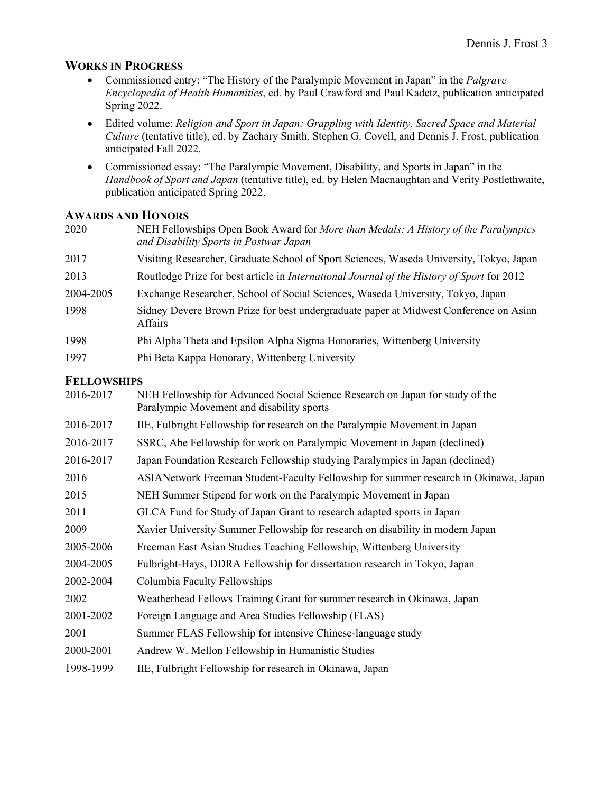### **WORKS IN PROGRESS**

- Commissioned entry: "The History of the Paralympic Movement in Japan" in the *Palgrave Encyclopedia of Health Humanities*, ed. by Paul Crawford and Paul Kadetz, publication anticipated Spring 2022.
- Edited volume: *Religion and Sport in Japan: Grappling with Identity, Sacred Space and Material Culture* (tentative title), ed. by Zachary Smith, Stephen G. Covell, and Dennis J. Frost, publication anticipated Fall 2022.
- Commissioned essay: "The Paralympic Movement, Disability, and Sports in Japan" in the *Handbook of Sport and Japan* (tentative title), ed. by Helen Macnaughtan and Verity Postlethwaite, publication anticipated Spring 2022.

### **AWARDS AND HONORS**

| 2020               | NEH Fellowships Open Book Award for More than Medals: A History of the Paralympics<br>and Disability Sports in Postwar Japan |
|--------------------|------------------------------------------------------------------------------------------------------------------------------|
| 2017               | Visiting Researcher, Graduate School of Sport Sciences, Waseda University, Tokyo, Japan                                      |
| 2013               | Routledge Prize for best article in <i>International Journal of the History of Sport</i> for 2012                            |
| 2004-2005          | Exchange Researcher, School of Social Sciences, Waseda University, Tokyo, Japan                                              |
| 1998               | Sidney Devere Brown Prize for best undergraduate paper at Midwest Conference on Asian<br><b>Affairs</b>                      |
| 1998               | Phi Alpha Theta and Epsilon Alpha Sigma Honoraries, Wittenberg University                                                    |
| 1997               | Phi Beta Kappa Honorary, Wittenberg University                                                                               |
| <b>FELLOWSHIPS</b> |                                                                                                                              |
| 2016, 2017         | NEH Fellowship for Advanced Social Science Research on Japan for study of the                                                |

| 2016-2017 | NEH Fellowship for Advanced Social Science Research on Japan for study of the<br>Paralympic Movement and disability sports |
|-----------|----------------------------------------------------------------------------------------------------------------------------|
| 2016-2017 | IIE, Fulbright Fellowship for research on the Paralympic Movement in Japan                                                 |
| 2016-2017 | SSRC, Abe Fellowship for work on Paralympic Movement in Japan (declined)                                                   |
| 2016-2017 | Japan Foundation Research Fellowship studying Paralympics in Japan (declined)                                              |
| 2016      | ASIANetwork Freeman Student-Faculty Fellowship for summer research in Okinawa, Japan                                       |
| 2015      | NEH Summer Stipend for work on the Paralympic Movement in Japan                                                            |
| 2011      | GLCA Fund for Study of Japan Grant to research adapted sports in Japan                                                     |
| 2009      | Xavier University Summer Fellowship for research on disability in modern Japan                                             |
| 2005-2006 | Freeman East Asian Studies Teaching Fellowship, Wittenberg University                                                      |
| 2004-2005 | Fulbright-Hays, DDRA Fellowship for dissertation research in Tokyo, Japan                                                  |
| 2002-2004 | Columbia Faculty Fellowships                                                                                               |
| 2002      | Weatherhead Fellows Training Grant for summer research in Okinawa, Japan                                                   |
| 2001-2002 | Foreign Language and Area Studies Fellowship (FLAS)                                                                        |
| 2001      | Summer FLAS Fellowship for intensive Chinese-language study                                                                |
| 2000-2001 | Andrew W. Mellon Fellowship in Humanistic Studies                                                                          |
| 1998-1999 | IIE, Fulbright Fellowship for research in Okinawa, Japan                                                                   |
|           |                                                                                                                            |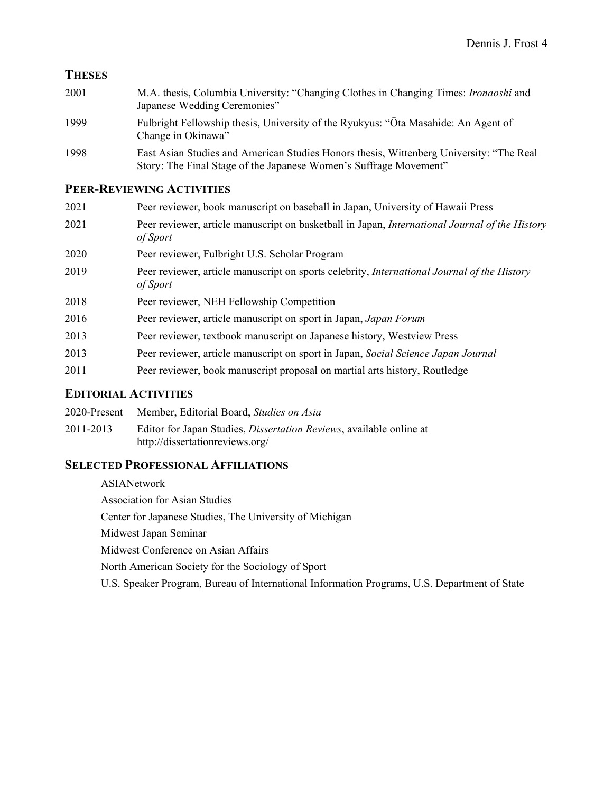### **THESES**

| 2001 | M.A. thesis, Columbia University: "Changing Clothes in Changing Times: Ironaoshi and<br>Japanese Wedding Ceremonies"                                         |
|------|--------------------------------------------------------------------------------------------------------------------------------------------------------------|
| 1999 | Fulbright Fellowship thesis, University of the Ryukyus: "Ota Masahide: An Agent of<br>Change in Okinawa"                                                     |
| 1998 | East Asian Studies and American Studies Honors thesis, Wittenberg University: "The Real<br>Story: The Final Stage of the Japanese Women's Suffrage Movement" |

## **PEER-REVIEWING ACTIVITIES**

| 2021 | Peer reviewer, book manuscript on baseball in Japan, University of Hawaii Press                            |
|------|------------------------------------------------------------------------------------------------------------|
| 2021 | Peer reviewer, article manuscript on basketball in Japan, International Journal of the History<br>of Sport |
| 2020 | Peer reviewer, Fulbright U.S. Scholar Program                                                              |
| 2019 | Peer reviewer, article manuscript on sports celebrity, International Journal of the History<br>of Sport    |
| 2018 | Peer reviewer, NEH Fellowship Competition                                                                  |
| 2016 | Peer reviewer, article manuscript on sport in Japan, Japan Forum                                           |
| 2013 | Peer reviewer, textbook manuscript on Japanese history, Westview Press                                     |
| 2013 | Peer reviewer, article manuscript on sport in Japan, Social Science Japan Journal                          |
| 2011 | Peer reviewer, book manuscript proposal on martial arts history, Routledge                                 |
|      |                                                                                                            |

### **EDITORIAL ACTIVITIES**

| 2020-Present | Member, Editorial Board, Studies on Asia |  |  |  |  |  |
|--------------|------------------------------------------|--|--|--|--|--|
|--------------|------------------------------------------|--|--|--|--|--|

2011-2013 Editor for Japan Studies, *Dissertation Reviews*, available online at http://dissertationreviews.org/

### **SELECTED PROFESSIONAL AFFILIATIONS**

ASIANetwork Association for Asian Studies Center for Japanese Studies, The University of Michigan Midwest Japan Seminar Midwest Conference on Asian Affairs North American Society for the Sociology of Sport U.S. Speaker Program, Bureau of International Information Programs, U.S. Department of State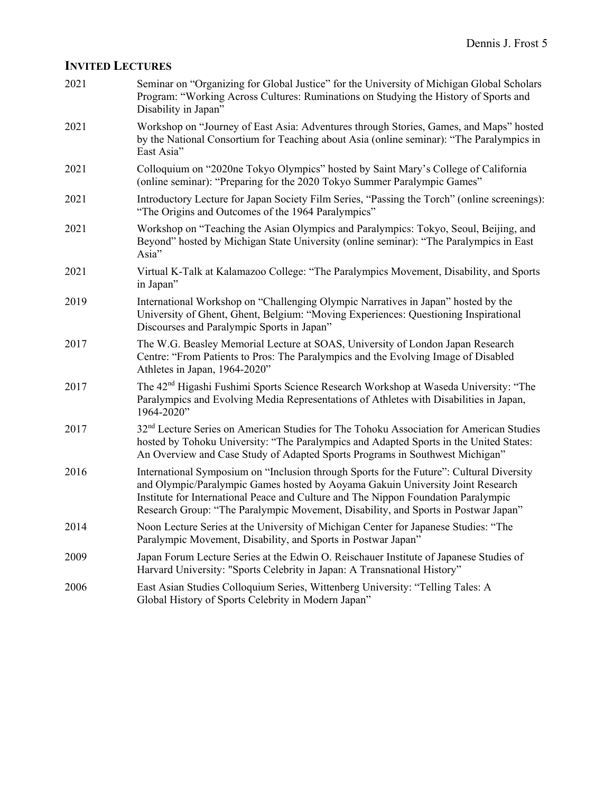## **INVITED LECTURES**

| 2021 | Seminar on "Organizing for Global Justice" for the University of Michigan Global Scholars<br>Program: "Working Across Cultures: Ruminations on Studying the History of Sports and<br>Disability in Japan"                                                                                                                                              |
|------|--------------------------------------------------------------------------------------------------------------------------------------------------------------------------------------------------------------------------------------------------------------------------------------------------------------------------------------------------------|
| 2021 | Workshop on "Journey of East Asia: Adventures through Stories, Games, and Maps" hosted<br>by the National Consortium for Teaching about Asia (online seminar): "The Paralympics in<br>East Asia"                                                                                                                                                       |
| 2021 | Colloquium on "2020ne Tokyo Olympics" hosted by Saint Mary's College of California<br>(online seminar): "Preparing for the 2020 Tokyo Summer Paralympic Games"                                                                                                                                                                                         |
| 2021 | Introductory Lecture for Japan Society Film Series, "Passing the Torch" (online screenings):<br>"The Origins and Outcomes of the 1964 Paralympics"                                                                                                                                                                                                     |
| 2021 | Workshop on "Teaching the Asian Olympics and Paralympics: Tokyo, Seoul, Beijing, and<br>Beyond" hosted by Michigan State University (online seminar): "The Paralympics in East<br>Asia"                                                                                                                                                                |
| 2021 | Virtual K-Talk at Kalamazoo College: "The Paralympics Movement, Disability, and Sports<br>in Japan"                                                                                                                                                                                                                                                    |
| 2019 | International Workshop on "Challenging Olympic Narratives in Japan" hosted by the<br>University of Ghent, Ghent, Belgium: "Moving Experiences: Questioning Inspirational<br>Discourses and Paralympic Sports in Japan"                                                                                                                                 |
| 2017 | The W.G. Beasley Memorial Lecture at SOAS, University of London Japan Research<br>Centre: "From Patients to Pros: The Paralympics and the Evolving Image of Disabled<br>Athletes in Japan, 1964-2020"                                                                                                                                                  |
| 2017 | The 42 <sup>nd</sup> Higashi Fushimi Sports Science Research Workshop at Waseda University: "The<br>Paralympics and Evolving Media Representations of Athletes with Disabilities in Japan,<br>1964-2020"                                                                                                                                               |
| 2017 | 32 <sup>nd</sup> Lecture Series on American Studies for The Tohoku Association for American Studies<br>hosted by Tohoku University: "The Paralympics and Adapted Sports in the United States:<br>An Overview and Case Study of Adapted Sports Programs in Southwest Michigan"                                                                          |
| 2016 | International Symposium on "Inclusion through Sports for the Future": Cultural Diversity<br>and Olympic/Paralympic Games hosted by Aoyama Gakuin University Joint Research<br>Institute for International Peace and Culture and The Nippon Foundation Paralympic<br>Research Group: "The Paralympic Movement, Disability, and Sports in Postwar Japan" |
| 2014 | Noon Lecture Series at the University of Michigan Center for Japanese Studies: "The<br>Paralympic Movement, Disability, and Sports in Postwar Japan"                                                                                                                                                                                                   |
| 2009 | Japan Forum Lecture Series at the Edwin O. Reischauer Institute of Japanese Studies of<br>Harvard University: "Sports Celebrity in Japan: A Transnational History"                                                                                                                                                                                     |
| 2006 | East Asian Studies Colloquium Series, Wittenberg University: "Telling Tales: A<br>Global History of Sports Celebrity in Modern Japan"                                                                                                                                                                                                                  |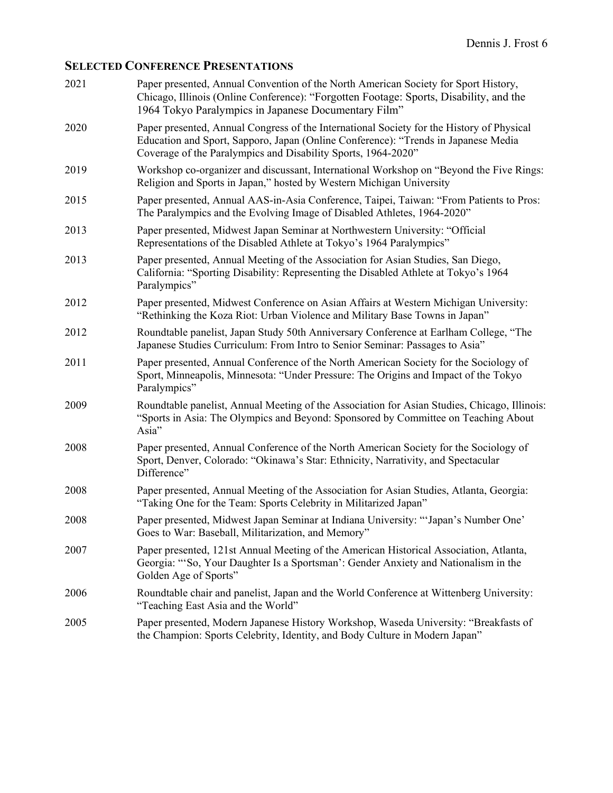# **SELECTED CONFERENCE PRESENTATIONS**

| 2021 | Paper presented, Annual Convention of the North American Society for Sport History,<br>Chicago, Illinois (Online Conference): "Forgotten Footage: Sports, Disability, and the<br>1964 Tokyo Paralympics in Japanese Documentary Film"            |
|------|--------------------------------------------------------------------------------------------------------------------------------------------------------------------------------------------------------------------------------------------------|
| 2020 | Paper presented, Annual Congress of the International Society for the History of Physical<br>Education and Sport, Sapporo, Japan (Online Conference): "Trends in Japanese Media<br>Coverage of the Paralympics and Disability Sports, 1964-2020" |
| 2019 | Workshop co-organizer and discussant, International Workshop on "Beyond the Five Rings:<br>Religion and Sports in Japan," hosted by Western Michigan University                                                                                  |
| 2015 | Paper presented, Annual AAS-in-Asia Conference, Taipei, Taiwan: "From Patients to Pros:<br>The Paralympics and the Evolving Image of Disabled Athletes, 1964-2020"                                                                               |
| 2013 | Paper presented, Midwest Japan Seminar at Northwestern University: "Official<br>Representations of the Disabled Athlete at Tokyo's 1964 Paralympics"                                                                                             |
| 2013 | Paper presented, Annual Meeting of the Association for Asian Studies, San Diego,<br>California: "Sporting Disability: Representing the Disabled Athlete at Tokyo's 1964<br>Paralympics"                                                          |
| 2012 | Paper presented, Midwest Conference on Asian Affairs at Western Michigan University:<br>"Rethinking the Koza Riot: Urban Violence and Military Base Towns in Japan"                                                                              |
| 2012 | Roundtable panelist, Japan Study 50th Anniversary Conference at Earlham College, "The<br>Japanese Studies Curriculum: From Intro to Senior Seminar: Passages to Asia"                                                                            |
| 2011 | Paper presented, Annual Conference of the North American Society for the Sociology of<br>Sport, Minneapolis, Minnesota: "Under Pressure: The Origins and Impact of the Tokyo<br>Paralympics"                                                     |
| 2009 | Roundtable panelist, Annual Meeting of the Association for Asian Studies, Chicago, Illinois:<br>"Sports in Asia: The Olympics and Beyond: Sponsored by Committee on Teaching About<br>Asia"                                                      |
| 2008 | Paper presented, Annual Conference of the North American Society for the Sociology of<br>Sport, Denver, Colorado: "Okinawa's Star: Ethnicity, Narrativity, and Spectacular<br>Difference"                                                        |
| 2008 | Paper presented, Annual Meeting of the Association for Asian Studies, Atlanta, Georgia:<br>"Taking One for the Team: Sports Celebrity in Militarized Japan"                                                                                      |
| 2008 | Paper presented, Midwest Japan Seminar at Indiana University: "'Japan's Number One'<br>Goes to War: Baseball, Militarization, and Memory"                                                                                                        |
| 2007 | Paper presented, 121st Annual Meeting of the American Historical Association, Atlanta,<br>Georgia: "'So, Your Daughter Is a Sportsman': Gender Anxiety and Nationalism in the<br>Golden Age of Sports"                                           |
| 2006 | Roundtable chair and panelist, Japan and the World Conference at Wittenberg University:<br>"Teaching East Asia and the World"                                                                                                                    |
| 2005 | Paper presented, Modern Japanese History Workshop, Waseda University: "Breakfasts of<br>the Champion: Sports Celebrity, Identity, and Body Culture in Modern Japan"                                                                              |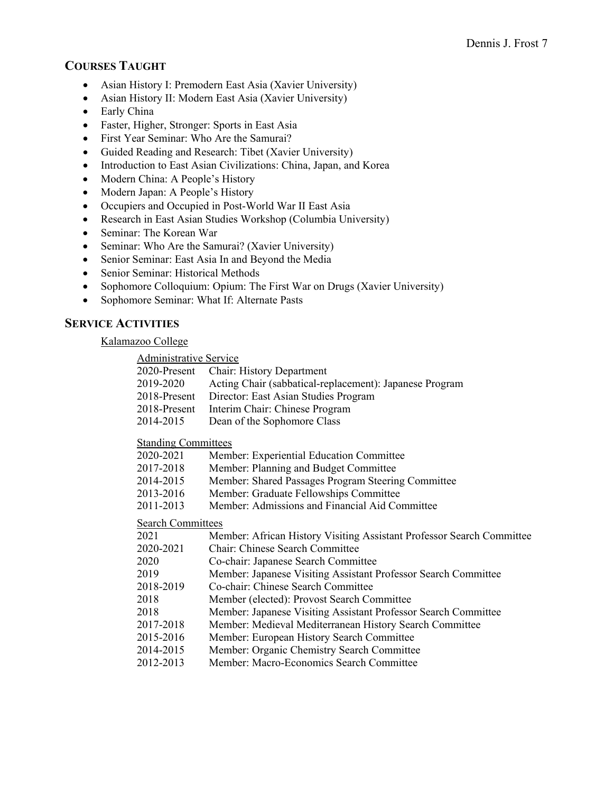### **COURSES TAUGHT**

- Asian History I: Premodern East Asia (Xavier University)
- Asian History II: Modern East Asia (Xavier University)
- Early China
- Faster, Higher, Stronger: Sports in East Asia
- First Year Seminar: Who Are the Samurai?
- Guided Reading and Research: Tibet (Xavier University)
- Introduction to East Asian Civilizations: China, Japan, and Korea
- Modern China: A People's History
- Modern Japan: A People's History
- Occupiers and Occupied in Post-World War II East Asia
- Research in East Asian Studies Workshop (Columbia University)
- Seminar: The Korean War
- Seminar: Who Are the Samurai? (Xavier University)
- Senior Seminar: East Asia In and Beyond the Media
- Senior Seminar: Historical Methods
- Sophomore Colloquium: Opium: The First War on Drugs (Xavier University)
- Sophomore Seminar: What If: Alternate Pasts

### **SERVICE ACTIVITIES**

Kalamazoo College

|                            | <b>Administrative Service</b>                                         |  |  |
|----------------------------|-----------------------------------------------------------------------|--|--|
| $2020$ -Present            | Chair: History Department                                             |  |  |
| 2019-2020                  | Acting Chair (sabbatical-replacement): Japanese Program               |  |  |
| $2018$ -Present            | Director: East Asian Studies Program                                  |  |  |
| 2018-Present               | Interim Chair: Chinese Program                                        |  |  |
| 2014-2015                  | Dean of the Sophomore Class                                           |  |  |
| <b>Standing Committees</b> |                                                                       |  |  |
| 2020-2021                  | Member: Experiential Education Committee                              |  |  |
| 2017-2018                  | Member: Planning and Budget Committee                                 |  |  |
| 2014-2015                  | Member: Shared Passages Program Steering Committee                    |  |  |
| 2013-2016                  | Member: Graduate Fellowships Committee                                |  |  |
| 2011-2013                  | Member: Admissions and Financial Aid Committee                        |  |  |
| <b>Search Committees</b>   |                                                                       |  |  |
| 2021                       | Member: African History Visiting Assistant Professor Search Committee |  |  |
| 2020-2021                  | Chair: Chinese Search Committee                                       |  |  |
| 2020                       | Co-chair: Japanese Search Committee                                   |  |  |
| 2019                       | Member: Japanese Visiting Assistant Professor Search Committee        |  |  |
| 2018-2019                  | Co-chair: Chinese Search Committee                                    |  |  |
| 2018                       | Member (elected): Provost Search Committee                            |  |  |
| 2018                       | Member: Japanese Visiting Assistant Professor Search Committee        |  |  |
| 2017-2018                  | Member: Medieval Mediterranean History Search Committee               |  |  |
| 2015-2016                  | Member: European History Search Committee                             |  |  |
| 2014-2015                  | Member: Organic Chemistry Search Committee                            |  |  |
| 2012-2013                  | Member: Macro-Economics Search Committee                              |  |  |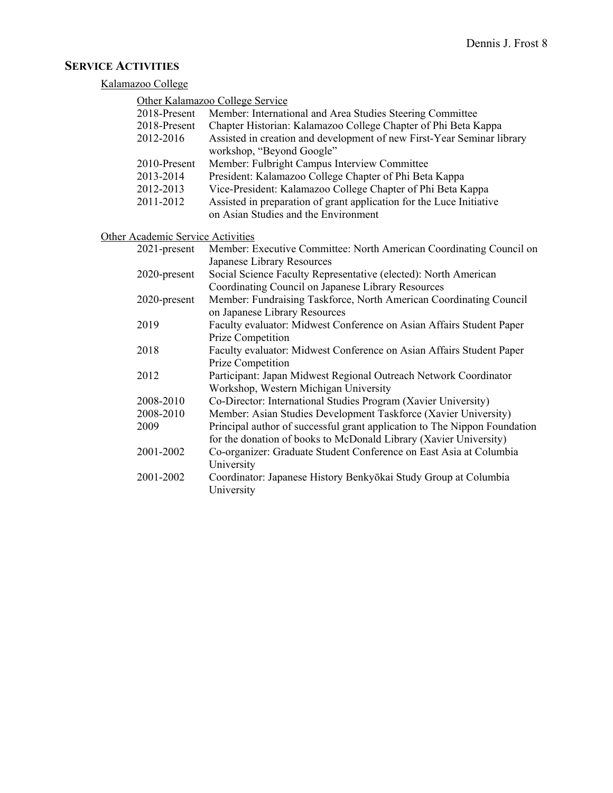### **SERVICE ACTIVITIES**

#### Kalamazoo College

| Other Kalamazoo College Service |  |
|---------------------------------|--|
|                                 |  |

University

University

| 2018-Present                      | Member: International and Area Studies Steering Committee                                                    |
|-----------------------------------|--------------------------------------------------------------------------------------------------------------|
| 2018-Present                      | Chapter Historian: Kalamazoo College Chapter of Phi Beta Kappa                                               |
| 2012-2016                         | Assisted in creation and development of new First-Year Seminar library<br>workshop, "Beyond Google"          |
| 2010-Present                      | Member: Fulbright Campus Interview Committee                                                                 |
| 2013-2014                         | President: Kalamazoo College Chapter of Phi Beta Kappa                                                       |
| 2012-2013                         | Vice-President: Kalamazoo College Chapter of Phi Beta Kappa                                                  |
| 2011-2012                         | Assisted in preparation of grant application for the Luce Initiative<br>on Asian Studies and the Environment |
|                                   |                                                                                                              |
| Other Academic Service Activities |                                                                                                              |
| $2021$ -present                   | Member: Executive Committee: North American Coordinating Council on                                          |
|                                   | Japanese Library Resources                                                                                   |
| 2020-present                      | Social Science Faculty Representative (elected): North American                                              |
|                                   | Coordinating Council on Japanese Library Resources                                                           |
| 2020-present                      | Member: Fundraising Taskforce, North American Coordinating Council<br>on Japanese Library Resources          |
| 2019                              | Faculty evaluator: Midwest Conference on Asian Affairs Student Paper                                         |
|                                   | Prize Competition                                                                                            |
| 2018                              | Faculty evaluator: Midwest Conference on Asian Affairs Student Paper                                         |
|                                   | Prize Competition                                                                                            |
| 2012                              | Participant: Japan Midwest Regional Outreach Network Coordinator                                             |
|                                   | Workshop, Western Michigan University                                                                        |
| 2008-2010                         | Co-Director: International Studies Program (Xavier University)                                               |
| 2008-2010                         | Member: Asian Studies Development Taskforce (Xavier University)                                              |

2009 Principal author of successful grant application to The Nippon Foundation

2001-2002 Co-organizer: Graduate Student Conference on East Asia at Columbia

2001-2002 Coordinator: Japanese History Benkyōkai Study Group at Columbia

for the donation of books to McDonald Library (Xavier University)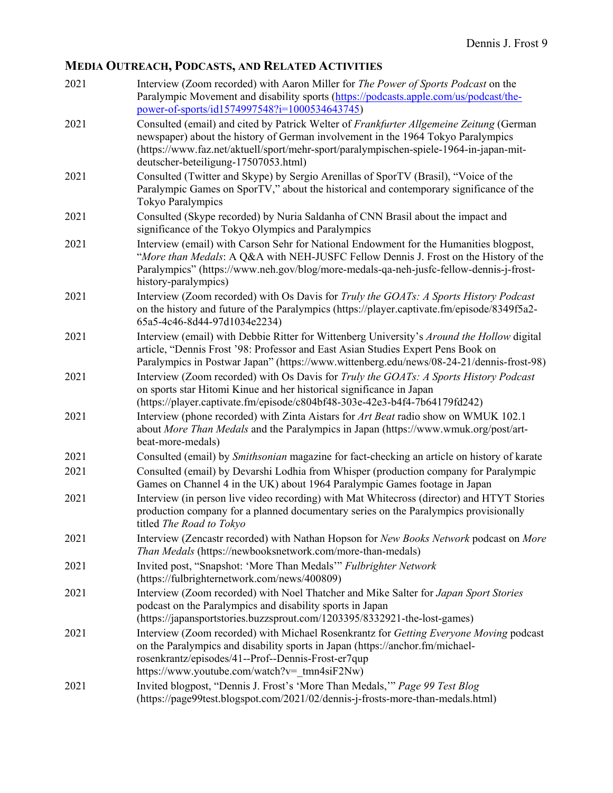# **MEDIA OUTREACH, PODCASTS, AND RELATED ACTIVITIES**

| 2021 | Interview (Zoom recorded) with Aaron Miller for The Power of Sports Podcast on the<br>Paralympic Movement and disability sports (https://podcasts.apple.com/us/podcast/the-                                                                                                                                                                                    |
|------|----------------------------------------------------------------------------------------------------------------------------------------------------------------------------------------------------------------------------------------------------------------------------------------------------------------------------------------------------------------|
| 2021 | power-of-sports/id1574997548?i=1000534643745)<br>Consulted (email) and cited by Patrick Welter of Frankfurter Allgemeine Zeitung (German<br>newspaper) about the history of German involvement in the 1964 Tokyo Paralympics<br>(https://www.faz.net/aktuell/sport/mehr-sport/paralympischen-spiele-1964-in-japan-mit-<br>deutscher-beteiligung-17507053.html) |
| 2021 | Consulted (Twitter and Skype) by Sergio Arenillas of SporTV (Brasil), "Voice of the<br>Paralympic Games on SporTV," about the historical and contemporary significance of the<br><b>Tokyo Paralympics</b>                                                                                                                                                      |
| 2021 | Consulted (Skype recorded) by Nuria Saldanha of CNN Brasil about the impact and<br>significance of the Tokyo Olympics and Paralympics                                                                                                                                                                                                                          |
| 2021 | Interview (email) with Carson Sehr for National Endowment for the Humanities blogpost,<br>"More than Medals: A Q&A with NEH-JUSFC Fellow Dennis J. Frost on the History of the<br>Paralympics" (https://www.neh.gov/blog/more-medals-qa-neh-jusfc-fellow-dennis-j-frost-<br>history-paralympics)                                                               |
| 2021 | Interview (Zoom recorded) with Os Davis for Truly the GOATs: A Sports History Podcast<br>on the history and future of the Paralympics (https://player.captivate.fm/episode/8349f5a2-<br>65a5-4c46-8d44-97d1034e2234)                                                                                                                                           |
| 2021 | Interview (email) with Debbie Ritter for Wittenberg University's Around the Hollow digital<br>article, "Dennis Frost '98: Professor and East Asian Studies Expert Pens Book on<br>Paralympics in Postwar Japan" (https://www.wittenberg.edu/news/08-24-21/dennis-frost-98)                                                                                     |
| 2021 | Interview (Zoom recorded) with Os Davis for Truly the GOATs: A Sports History Podcast<br>on sports star Hitomi Kinue and her historical significance in Japan<br>(https://player.captivate.fm/episode/c804bf48-303e-42e3-b4f4-7b64179fd242)                                                                                                                    |
| 2021 | Interview (phone recorded) with Zinta Aistars for Art Beat radio show on WMUK 102.1<br>about More Than Medals and the Paralympics in Japan (https://www.wmuk.org/post/art-<br>beat-more-medals)                                                                                                                                                                |
| 2021 | Consulted (email) by <i>Smithsonian</i> magazine for fact-checking an article on history of karate                                                                                                                                                                                                                                                             |
| 2021 | Consulted (email) by Devarshi Lodhia from Whisper (production company for Paralympic<br>Games on Channel 4 in the UK) about 1964 Paralympic Games footage in Japan                                                                                                                                                                                             |
| 2021 | Interview (in person live video recording) with Mat Whitecross (director) and HTYT Stories<br>production company for a planned documentary series on the Paralympics provisionally<br>titled <i>The Road to Tokvo</i>                                                                                                                                          |
| 2021 | Interview (Zencastr recorded) with Nathan Hopson for New Books Network podcast on More<br>Than Medals (https://newbooksnetwork.com/more-than-medals)                                                                                                                                                                                                           |
| 2021 | Invited post, "Snapshot: 'More Than Medals'" Fulbrighter Network<br>(https://fulbrighternetwork.com/news/400809)                                                                                                                                                                                                                                               |
| 2021 | Interview (Zoom recorded) with Noel Thatcher and Mike Salter for Japan Sport Stories<br>podcast on the Paralympics and disability sports in Japan<br>(https://japansportstories.buzzsprout.com/1203395/8332921-the-lost-games)                                                                                                                                 |
| 2021 | Interview (Zoom recorded) with Michael Rosenkrantz for Getting Everyone Moving podcast<br>on the Paralympics and disability sports in Japan (https://anchor.fm/michael-<br>rosenkrantz/episodes/41--Prof--Dennis-Frost-er7qup<br>https://www.youtube.com/watch?v= tmn4siF2Nw)                                                                                  |
| 2021 | Invited blogpost, "Dennis J. Frost's 'More Than Medals," Page 99 Test Blog<br>(https://page99test.blogspot.com/2021/02/dennis-j-frosts-more-than-medals.html)                                                                                                                                                                                                  |